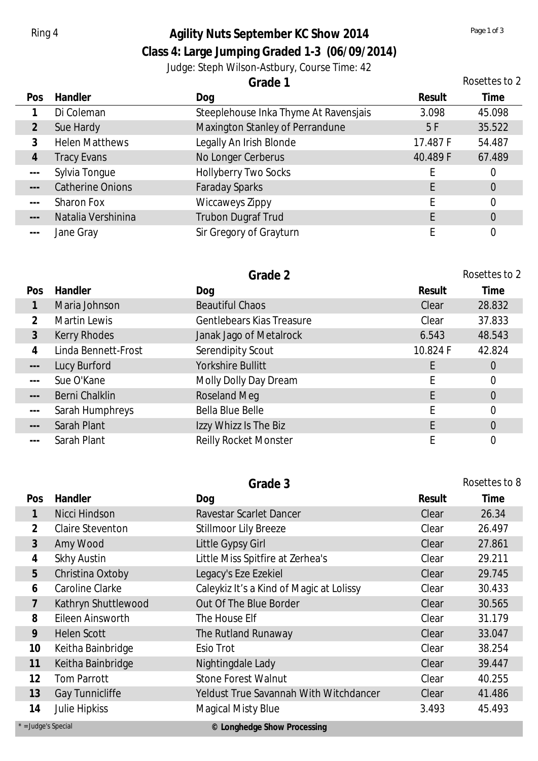## Ring 4 **Agility Nuts September KC Show 2014** *Page 1 of 3 Page 1 of 3*

**Class 4: Large Jumping Graded 1-3 (06/09/2014)**

Judge: Steph Wilson-Astbury, Course Time: 42

|                                                                                                                                                                                                                                                                                                                                                                                              |                         | Grade 1                               |          | Rosettes to 2  |
|----------------------------------------------------------------------------------------------------------------------------------------------------------------------------------------------------------------------------------------------------------------------------------------------------------------------------------------------------------------------------------------------|-------------------------|---------------------------------------|----------|----------------|
| Pos                                                                                                                                                                                                                                                                                                                                                                                          | Handler                 | Dog                                   | Result   | Time           |
|                                                                                                                                                                                                                                                                                                                                                                                              | Di Coleman              | Steeplehouse Inka Thyme At Ravensjais | 3.098    | 45.098         |
| $\overline{2}$                                                                                                                                                                                                                                                                                                                                                                               | Sue Hardy               | Maxington Stanley of Perrandune       | 5F       | 35.522         |
| 3                                                                                                                                                                                                                                                                                                                                                                                            | <b>Helen Matthews</b>   | Legally An Irish Blonde               | 17.487 F | 54.487         |
| $\overline{4}$                                                                                                                                                                                                                                                                                                                                                                               | <b>Tracy Evans</b>      | No Longer Cerberus                    | 40.489 F | 67.489         |
| $\qquad \qquad -$                                                                                                                                                                                                                                                                                                                                                                            | Sylvia Tongue           | Hollyberry Two Socks                  |          | 0              |
| $\frac{1}{2}$                                                                                                                                                                                                                                                                                                                                                                                | <b>Catherine Onions</b> | <b>Faraday Sparks</b>                 |          | $\overline{0}$ |
| $\frac{1}{2} \frac{1}{2} \frac{1}{2} \frac{1}{2} \frac{1}{2} \frac{1}{2} \frac{1}{2} \frac{1}{2} \frac{1}{2} \frac{1}{2} \frac{1}{2} \frac{1}{2} \frac{1}{2} \frac{1}{2} \frac{1}{2} \frac{1}{2} \frac{1}{2} \frac{1}{2} \frac{1}{2} \frac{1}{2} \frac{1}{2} \frac{1}{2} \frac{1}{2} \frac{1}{2} \frac{1}{2} \frac{1}{2} \frac{1}{2} \frac{1}{2} \frac{1}{2} \frac{1}{2} \frac{1}{2} \frac{$ | <b>Sharon Fox</b>       | <b>Wiccaweys Zippy</b>                |          | $\overline{0}$ |
| $\qquad \qquad - -$                                                                                                                                                                                                                                                                                                                                                                          | Natalia Vershinina      | <b>Trubon Dugraf Trud</b>             |          | $\overline{0}$ |
| $- - -$                                                                                                                                                                                                                                                                                                                                                                                      | Jane Gray               | Sir Gregory of Grayturn               |          | 0              |

|                      |                     | Grade 2                      |          | Rosettes to 2  |
|----------------------|---------------------|------------------------------|----------|----------------|
| Pos                  | Handler             | Dog                          | Result   | Time           |
|                      | Maria Johnson       | <b>Beautiful Chaos</b>       | Clear    | 28.832         |
| $\overline{2}$       | Martin Lewis        | Gentlebears Kias Treasure    | Clear    | 37.833         |
| $\mathfrak{Z}$       | Kerry Rhodes        | Janak Jago of Metalrock      | 6.543    | 48.543         |
| 4                    | Linda Bennett-Frost | Serendipity Scout            | 10.824 F | 42.824         |
| $\sim$ $\sim$ $\sim$ | Lucy Burford        | Yorkshire Bullitt            |          | $\overline{0}$ |
| $\frac{1}{2}$        | Sue O'Kane          | Molly Dolly Day Dream        |          | 0              |
| $\sim$ $\sim$ $\sim$ | Berni Chalklin      | <b>Roseland Meg</b>          | E        | $\overline{0}$ |
| $\frac{1}{2}$        | Sarah Humphreys     | Bella Blue Belle             |          | $\overline{0}$ |
| $---$                | Sarah Plant         | Izzy Whizz Is The Biz        | F        | $\overline{0}$ |
| $- - -$              | Sarah Plant         | <b>Reilly Rocket Monster</b> |          | 0              |

|              |                         | Grade 3                                  |        | Rosettes to 8 |
|--------------|-------------------------|------------------------------------------|--------|---------------|
| Pos          | Handler                 | Dog                                      | Result | Time          |
| $\mathbf{1}$ | Nicci Hindson           | Ravestar Scarlet Dancer                  | Clear  | 26.34         |
| 2            | <b>Claire Steventon</b> | <b>Stillmoor Lily Breeze</b>             | Clear  | 26.497        |
| 3            | Amy Wood                | Little Gypsy Girl                        | Clear  | 27.861        |
| 4            | <b>Skhy Austin</b>      | Little Miss Spitfire at Zerhea's         | Clear  | 29.211        |
| 5            | Christina Oxtoby        | Legacy's Eze Ezekiel                     | Clear  | 29.745        |
| 6            | Caroline Clarke         | Caleykiz It's a Kind of Magic at Lolissy | Clear  | 30.433        |
| 7            | Kathryn Shuttlewood     | Out Of The Blue Border                   | Clear  | 30.565        |
| 8            | Eileen Ainsworth        | The House Elf                            | Clear  | 31.179        |
| 9            | <b>Helen Scott</b>      | The Rutland Runaway                      | Clear  | 33.047        |
| 10           | Keitha Bainbridge       | Esio Trot                                | Clear  | 38.254        |
| 11           | Keitha Bainbridge       | Nightingdale Lady                        | Clear  | 39.447        |
| 12           | <b>Tom Parrott</b>      | <b>Stone Forest Walnut</b>               | Clear  | 40.255        |
| 13           | Gay Tunnicliffe         | Yeldust True Savannah With Witchdancer   | Clear  | 41.486        |
| 14           | <b>Julie Hipkiss</b>    | <b>Magical Misty Blue</b>                | 3.493  | 45.493        |

| 14 | <b>JUILE LIIDK</b> |  |
|----|--------------------|--|
|    |                    |  |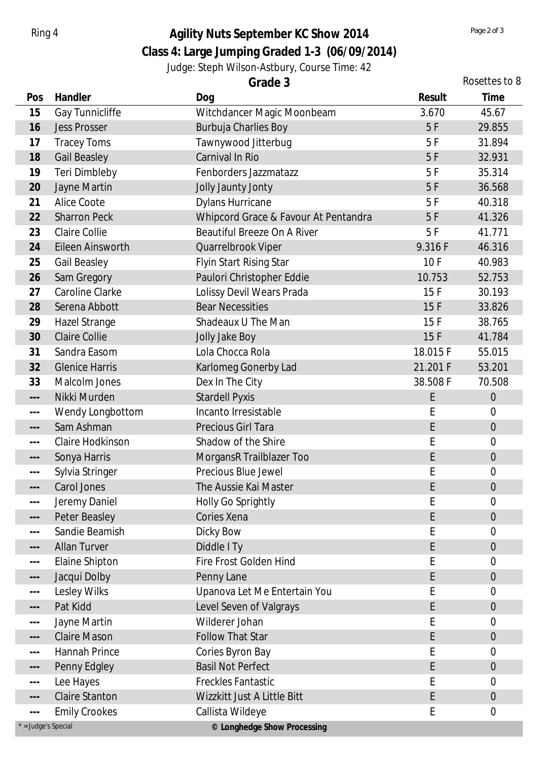## Ring 4 **Agility Nuts September KC Show 2014** *Page 2 of 3 Page 2 of 3*

**Class 4: Large Jumping Graded 1-3 (06/09/2014)**

Judge: Steph Wilson-Astbury, Course Time: 42

| Grade 3 |
|---------|
|---------|

|                                                                                                                                                                                                                                                                                                                                                                                              |                       | Grade 3                              |          | Rosettes to 8    |
|----------------------------------------------------------------------------------------------------------------------------------------------------------------------------------------------------------------------------------------------------------------------------------------------------------------------------------------------------------------------------------------------|-----------------------|--------------------------------------|----------|------------------|
| Pos                                                                                                                                                                                                                                                                                                                                                                                          | Handler               | Dog                                  | Result   | Time             |
| 15                                                                                                                                                                                                                                                                                                                                                                                           | Gay Tunnicliffe       | Witchdancer Magic Moonbeam           | 3.670    | 45.67            |
| 16                                                                                                                                                                                                                                                                                                                                                                                           | <b>Jess Prosser</b>   | <b>Burbuja Charlies Boy</b>          | 5F       | 29.855           |
| 17                                                                                                                                                                                                                                                                                                                                                                                           | <b>Tracey Toms</b>    | Tawnywood Jitterbug                  | 5F       | 31.894           |
| 18                                                                                                                                                                                                                                                                                                                                                                                           | <b>Gail Beasley</b>   | Carnival In Rio                      | 5F       | 32.931           |
| 19                                                                                                                                                                                                                                                                                                                                                                                           | Teri Dimbleby         | Fenborders Jazzmatazz                | 5F       | 35.314           |
| 20                                                                                                                                                                                                                                                                                                                                                                                           | Jayne Martin          | Jolly Jaunty Jonty                   | 5F       | 36.568           |
| 21                                                                                                                                                                                                                                                                                                                                                                                           | Alice Coote           | <b>Dylans Hurricane</b>              | 5F       | 40.318           |
| 22                                                                                                                                                                                                                                                                                                                                                                                           | <b>Sharron Peck</b>   | Whipcord Grace & Favour At Pentandra | 5F       | 41.326           |
| 23                                                                                                                                                                                                                                                                                                                                                                                           | <b>Claire Collie</b>  | <b>Beautiful Breeze On A River</b>   | 5F       | 41.771           |
| 24                                                                                                                                                                                                                                                                                                                                                                                           | Eileen Ainsworth      | Quarrelbrook Viper                   | 9.316 F  | 46.316           |
| 25                                                                                                                                                                                                                                                                                                                                                                                           | <b>Gail Beasley</b>   | Flyin Start Rising Star              | 10F      | 40.983           |
| 26                                                                                                                                                                                                                                                                                                                                                                                           | Sam Gregory           | Paulori Christopher Eddie            | 10.753   | 52.753           |
| 27                                                                                                                                                                                                                                                                                                                                                                                           | Caroline Clarke       | Lolissy Devil Wears Prada            | 15F      | 30.193           |
| 28                                                                                                                                                                                                                                                                                                                                                                                           | Serena Abbott         | <b>Bear Necessities</b>              | 15F      | 33.826           |
| 29                                                                                                                                                                                                                                                                                                                                                                                           | Hazel Strange         | Shadeaux U The Man                   | 15F      | 38.765           |
| 30                                                                                                                                                                                                                                                                                                                                                                                           | <b>Claire Collie</b>  | Jolly Jake Boy                       | 15F      | 41.784           |
| 31                                                                                                                                                                                                                                                                                                                                                                                           | Sandra Easom          | Lola Chocca Rola                     | 18.015F  | 55.015           |
| 32                                                                                                                                                                                                                                                                                                                                                                                           | <b>Glenice Harris</b> | Karlomeg Gonerby Lad                 | 21.201 F | 53.201           |
| 33                                                                                                                                                                                                                                                                                                                                                                                           | Malcolm Jones         | Dex In The City                      | 38.508 F | 70.508           |
| $\qquad \qquad - -$                                                                                                                                                                                                                                                                                                                                                                          | Nikki Murden          | <b>Stardell Pyxis</b>                | E        | $\overline{0}$   |
| $\frac{1}{2} \frac{1}{2} \frac{1}{2} \frac{1}{2} \frac{1}{2} \frac{1}{2} \frac{1}{2} \frac{1}{2} \frac{1}{2} \frac{1}{2} \frac{1}{2} \frac{1}{2} \frac{1}{2} \frac{1}{2} \frac{1}{2} \frac{1}{2} \frac{1}{2} \frac{1}{2} \frac{1}{2} \frac{1}{2} \frac{1}{2} \frac{1}{2} \frac{1}{2} \frac{1}{2} \frac{1}{2} \frac{1}{2} \frac{1}{2} \frac{1}{2} \frac{1}{2} \frac{1}{2} \frac{1}{2} \frac{$ | Wendy Longbottom      | Incanto Irresistable                 | E        | $\mathbf 0$      |
| $\qquad \qquad - -$                                                                                                                                                                                                                                                                                                                                                                          | Sam Ashman            | Precious Girl Tara                   | E        | $\boldsymbol{0}$ |
| $-$                                                                                                                                                                                                                                                                                                                                                                                          | Claire Hodkinson      | Shadow of the Shire                  | E        | $\mathbf 0$      |
| $---$                                                                                                                                                                                                                                                                                                                                                                                        | Sonya Harris          | MorgansR Trailblazer Too             | E        | $\boldsymbol{0}$ |
| $---$                                                                                                                                                                                                                                                                                                                                                                                        | Sylvia Stringer       | Precious Blue Jewel                  | E        | $\mathbf 0$      |
| $\overline{\phantom{m}}$ .                                                                                                                                                                                                                                                                                                                                                                   | Carol Jones           | The Aussie Kai Master                | E        | $\overline{0}$   |
| $\qquad \qquad -$                                                                                                                                                                                                                                                                                                                                                                            | Jeremy Daniel         | Holly Go Sprightly                   | E        | 0                |
| $--\,$                                                                                                                                                                                                                                                                                                                                                                                       | Peter Beasley         | Cories Xena                          | E        | $\boldsymbol{0}$ |
| $\sim$ $\sim$ $\sim$                                                                                                                                                                                                                                                                                                                                                                         | Sandie Beamish        | Dicky Bow                            | E        | $\overline{0}$   |
| $\qquad \qquad - -$                                                                                                                                                                                                                                                                                                                                                                          | <b>Allan Turver</b>   | Diddle I Ty                          | E        | $\boldsymbol{0}$ |
| $\qquad \qquad -$                                                                                                                                                                                                                                                                                                                                                                            | Elaine Shipton        | Fire Frost Golden Hind               | E        | 0                |
| $\qquad \qquad - -$                                                                                                                                                                                                                                                                                                                                                                          | Jacqui Dolby          | Penny Lane                           | E        | $\boldsymbol{0}$ |
| $\sim$ $\sim$ $\sim$                                                                                                                                                                                                                                                                                                                                                                         | Lesley Wilks          | Upanova Let Me Entertain You         | E        | 0                |
| $\overline{\phantom{m}}$ - $\overline{\phantom{m}}$                                                                                                                                                                                                                                                                                                                                          | Pat Kidd              | Level Seven of Valgrays              | E        | $\boldsymbol{0}$ |
| $\sim$ $\sim$ $\sim$                                                                                                                                                                                                                                                                                                                                                                         | Jayne Martin          | Wilderer Johan                       | E        | 0                |
| $--\,$                                                                                                                                                                                                                                                                                                                                                                                       | <b>Claire Mason</b>   | <b>Follow That Star</b>              | E        | $\theta$         |
| $\qquad \qquad -$                                                                                                                                                                                                                                                                                                                                                                            | Hannah Prince         | Cories Byron Bay                     | E        | 0                |
| $--\,$                                                                                                                                                                                                                                                                                                                                                                                       | Penny Edgley          | <b>Basil Not Perfect</b>             | E        | $\boldsymbol{0}$ |
| $\qquad \qquad -$                                                                                                                                                                                                                                                                                                                                                                            | Lee Hayes             | <b>Freckles Fantastic</b>            | E        | $\mathbf 0$      |
| $--\,$                                                                                                                                                                                                                                                                                                                                                                                       | <b>Claire Stanton</b> | Wizzkitt Just A Little Bitt          | E        | $\boldsymbol{0}$ |
| $\frac{1}{2} \frac{1}{2} \frac{1}{2} \frac{1}{2} \frac{1}{2} \frac{1}{2} \frac{1}{2} \frac{1}{2} \frac{1}{2} \frac{1}{2} \frac{1}{2} \frac{1}{2} \frac{1}{2} \frac{1}{2} \frac{1}{2} \frac{1}{2} \frac{1}{2} \frac{1}{2} \frac{1}{2} \frac{1}{2} \frac{1}{2} \frac{1}{2} \frac{1}{2} \frac{1}{2} \frac{1}{2} \frac{1}{2} \frac{1}{2} \frac{1}{2} \frac{1}{2} \frac{1}{2} \frac{1}{2} \frac{$ | <b>Emily Crookes</b>  | Callista Wildeye                     | E        | $\boldsymbol{0}$ |
| * = Judge's Special                                                                                                                                                                                                                                                                                                                                                                          |                       | © Longhedge Show Processing          |          |                  |